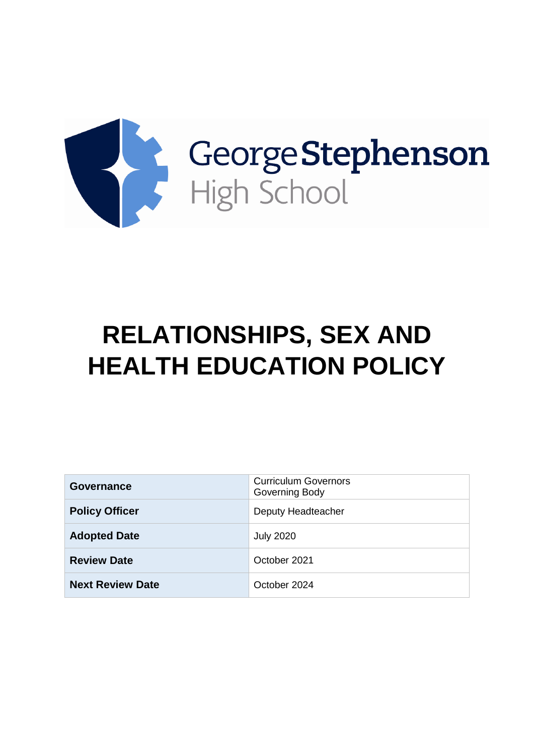

# **RELATIONSHIPS, SEX AND HEALTH EDUCATION POLICY**

| Governance              | <b>Curriculum Governors</b><br>Governing Body |
|-------------------------|-----------------------------------------------|
| <b>Policy Officer</b>   | Deputy Headteacher                            |
| <b>Adopted Date</b>     | <b>July 2020</b>                              |
| <b>Review Date</b>      | October 2021                                  |
| <b>Next Review Date</b> | October 2024                                  |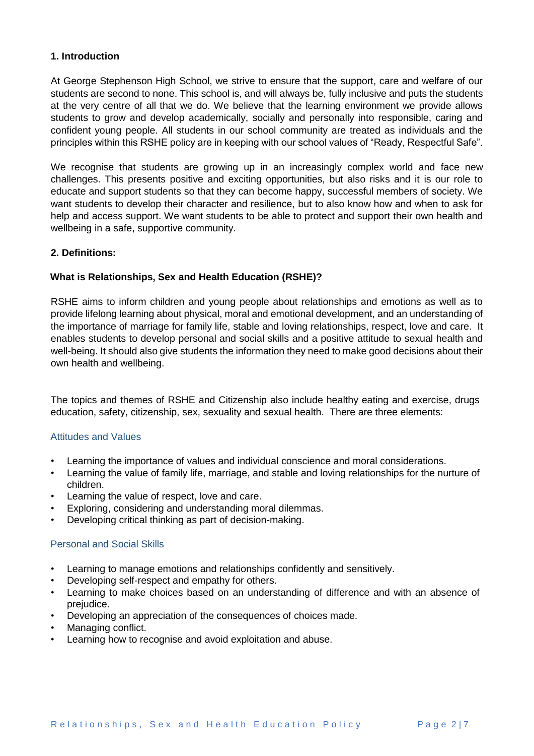# **1. Introduction**

At George Stephenson High School, we strive to ensure that the support, care and welfare of our students are second to none. This school is, and will always be, fully inclusive and puts the students at the very centre of all that we do. We believe that the learning environment we provide allows students to grow and develop academically, socially and personally into responsible, caring and confident young people. All students in our school community are treated as individuals and the principles within this RSHE policy are in keeping with our school values of "Ready, Respectful Safe".

We recognise that students are growing up in an increasingly complex world and face new challenges. This presents positive and exciting opportunities, but also risks and it is our role to educate and support students so that they can become happy, successful members of society. We want students to develop their character and resilience, but to also know how and when to ask for help and access support. We want students to be able to protect and support their own health and wellbeing in a safe, supportive community.

# **2. Definitions:**

## **What is Relationships, Sex and Health Education (RSHE)?**

RSHE aims to inform children and young people about relationships and emotions as well as to provide lifelong learning about physical, moral and emotional development, and an understanding of the importance of marriage for family life, stable and loving relationships, respect, love and care. It enables students to develop personal and social skills and a positive attitude to sexual health and well-being. It should also give students the information they need to make good decisions about their own health and wellbeing.

The topics and themes of RSHE and Citizenship also include healthy eating and exercise, drugs education, safety, citizenship, sex, sexuality and sexual health. There are three elements:

## Attitudes and Values

- Learning the importance of values and individual conscience and moral considerations.
- Learning the value of family life, marriage, and stable and loving relationships for the nurture of children.
- Learning the value of respect, love and care.
- Exploring, considering and understanding moral dilemmas.
- Developing critical thinking as part of decision-making.

#### Personal and Social Skills

- Learning to manage emotions and relationships confidently and sensitively.
- Developing self-respect and empathy for others.
- Learning to make choices based on an understanding of difference and with an absence of prejudice.
- Developing an appreciation of the consequences of choices made.
- Managing conflict.
- Learning how to recognise and avoid exploitation and abuse.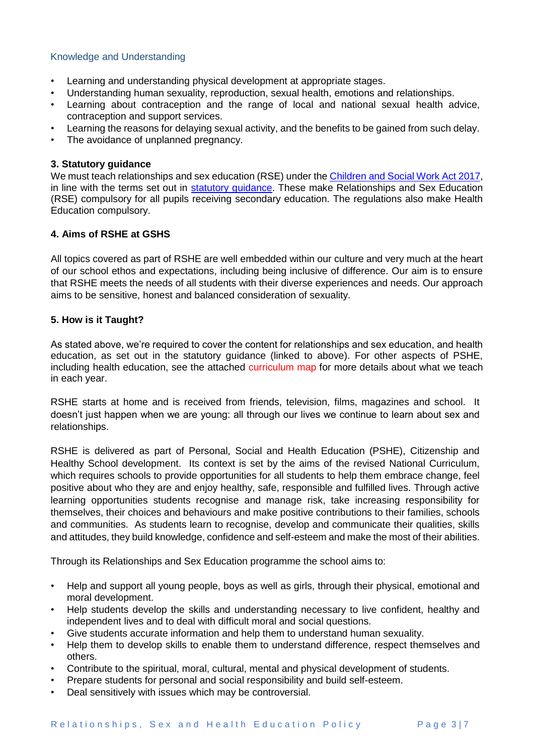# Knowledge and Understanding

- Learning and understanding physical development at appropriate stages.
- Understanding human sexuality, reproduction, sexual health, emotions and relationships.
- Learning about contraception and the range of local and national sexual health advice, contraception and support services.
- Learning the reasons for delaying sexual activity, and the benefits to be gained from such delay.
- The avoidance of unplanned pregnancy.

## **3. Statutory guidance**

We must teach relationships and sex education (RSE) under th[e Children and Social Work Act 2017,](http://www.legislation.gov.uk/ukpga/2017/16/section/34/enacted) in line with the terms set out in [statutory guidance.](https://www.gov.uk/government/publications/relationships-education-relationships-and-sex-education-rse-and-health-education) These make Relationships and Sex Education (RSE) compulsory for all pupils receiving secondary education. The regulations also make Health Education compulsory.

# **4. Aims of RSHE at GSHS**

All topics covered as part of RSHE are well embedded within our culture and very much at the heart of our school ethos and expectations, including being inclusive of difference. Our aim is to ensure that RSHE meets the needs of all students with their diverse experiences and needs. Our approach aims to be sensitive, honest and balanced consideration of sexuality.

#### **5. How is it Taught?**

As stated above, we're required to cover the content for relationships and sex education, and health education, as set out in the statutory guidance (linked to above). For other aspects of PSHE, including health education, see the attached curriculum map for more details about what we teach in each year.

RSHE starts at home and is received from friends, television, films, magazines and school. It doesn't just happen when we are young: all through our lives we continue to learn about sex and relationships.

RSHE is delivered as part of Personal, Social and Health Education (PSHE), Citizenship and Healthy School development. Its context is set by the aims of the revised National Curriculum, which requires schools to provide opportunities for all students to help them embrace change, feel positive about who they are and enjoy healthy, safe, responsible and fulfilled lives. Through active learning opportunities students recognise and manage risk, take increasing responsibility for themselves, their choices and behaviours and make positive contributions to their families, schools and communities. As students learn to recognise, develop and communicate their qualities, skills and attitudes, they build knowledge, confidence and self-esteem and make the most of their abilities.

Through its Relationships and Sex Education programme the school aims to:

- Help and support all young people, boys as well as girls, through their physical, emotional and moral development.
- Help students develop the skills and understanding necessary to live confident, healthy and independent lives and to deal with difficult moral and social questions.
- Give students accurate information and help them to understand human sexuality.
- Help them to develop skills to enable them to understand difference, respect themselves and others.
- Contribute to the spiritual, moral, cultural, mental and physical development of students.
- Prepare students for personal and social responsibility and build self-esteem.
- Deal sensitively with issues which may be controversial.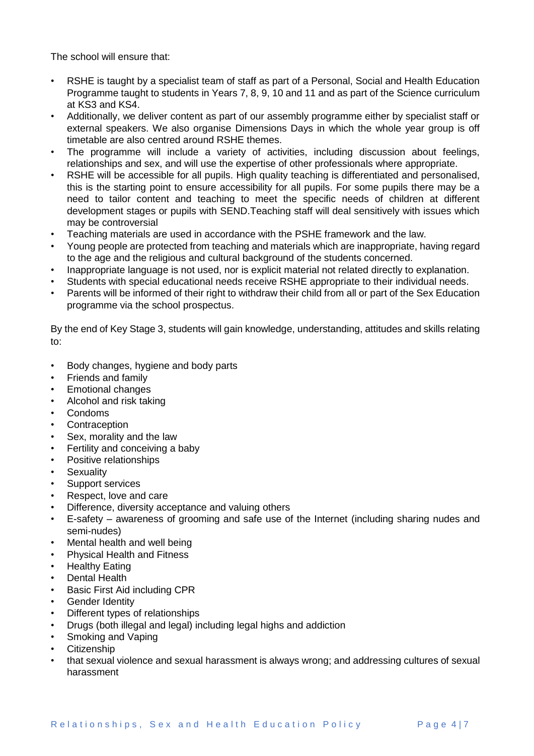The school will ensure that:

- RSHE is taught by a specialist team of staff as part of a Personal, Social and Health Education Programme taught to students in Years 7, 8, 9, 10 and 11 and as part of the Science curriculum at KS3 and KS4.
- Additionally, we deliver content as part of our assembly programme either by specialist staff or external speakers. We also organise Dimensions Days in which the whole year group is off timetable are also centred around RSHE themes.
- The programme will include a variety of activities, including discussion about feelings, relationships and sex, and will use the expertise of other professionals where appropriate.
- RSHE will be accessible for all pupils. High quality teaching is differentiated and personalised, this is the starting point to ensure accessibility for all pupils. For some pupils there may be a need to tailor content and teaching to meet the specific needs of children at different development stages or pupils with SEND.Teaching staff will deal sensitively with issues which may be controversial
- Teaching materials are used in accordance with the PSHE framework and the law.
- Young people are protected from teaching and materials which are inappropriate, having regard to the age and the religious and cultural background of the students concerned.
- Inappropriate language is not used, nor is explicit material not related directly to explanation.
- Students with special educational needs receive RSHE appropriate to their individual needs.
- Parents will be informed of their right to withdraw their child from all or part of the Sex Education programme via the school prospectus.

By the end of Key Stage 3, students will gain knowledge, understanding, attitudes and skills relating  $t^{\circ}$ 

- Body changes, hygiene and body parts
- Friends and family
- Emotional changes
- Alcohol and risk taking
- Condoms
- **Contraception**
- Sex, morality and the law
- Fertility and conceiving a baby
- Positive relationships
- **Sexuality**
- Support services
- Respect, love and care
- Difference, diversity acceptance and valuing others
- E-safety awareness of grooming and safe use of the Internet (including sharing nudes and semi-nudes)
- Mental health and well being
- Physical Health and Fitness
- Healthy Eating
- Dental Health
- Basic First Aid including CPR
- Gender Identity
- Different types of relationships
- Drugs (both illegal and legal) including legal highs and addiction
- Smoking and Vaping
- Citizenship
- that sexual violence and sexual harassment is always wrong; and addressing cultures of sexual harassment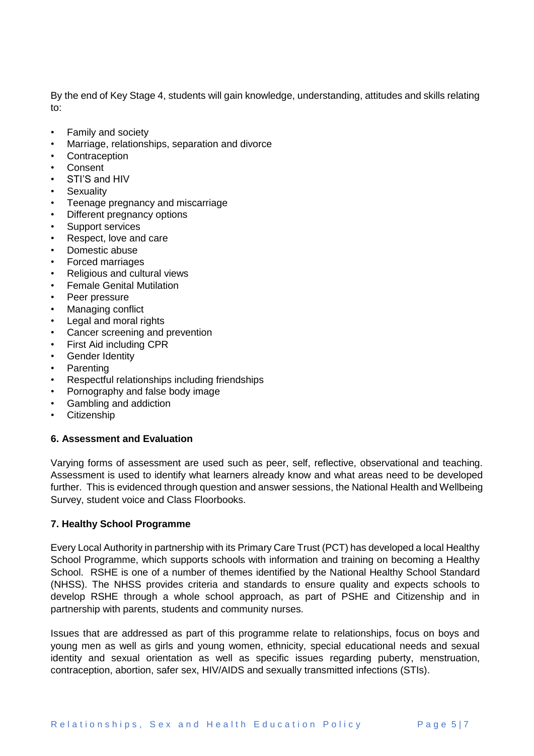By the end of Key Stage 4, students will gain knowledge, understanding, attitudes and skills relating to:

- Family and society
- Marriage, relationships, separation and divorce
- **Contraception**
- Consent
- STI'S and HIV
- **Sexuality**
- Teenage pregnancy and miscarriage
- Different pregnancy options
- Support services
- Respect, love and care
- Domestic abuse
- Forced marriages
- Religious and cultural views
- Female Genital Mutilation
- Peer pressure
- Managing conflict
- Legal and moral rights
- Cancer screening and prevention
- First Aid including CPR
- Gender Identity
- **Parenting**
- Respectful relationships including friendships
- Pornography and false body image
- Gambling and addiction
- Citizenship

#### **6. Assessment and Evaluation**

Varying forms of assessment are used such as peer, self, reflective, observational and teaching. Assessment is used to identify what learners already know and what areas need to be developed further. This is evidenced through question and answer sessions, the National Health and Wellbeing Survey, student voice and Class Floorbooks.

#### **7. Healthy School Programme**

Every Local Authority in partnership with its Primary Care Trust (PCT) has developed a local Healthy School Programme, which supports schools with information and training on becoming a Healthy School. RSHE is one of a number of themes identified by the National Healthy School Standard (NHSS). The NHSS provides criteria and standards to ensure quality and expects schools to develop RSHE through a whole school approach, as part of PSHE and Citizenship and in partnership with parents, students and community nurses.

Issues that are addressed as part of this programme relate to relationships, focus on boys and young men as well as girls and young women, ethnicity, special educational needs and sexual identity and sexual orientation as well as specific issues regarding puberty, menstruation, contraception, abortion, safer sex, HIV/AIDS and sexually transmitted infections (STIs).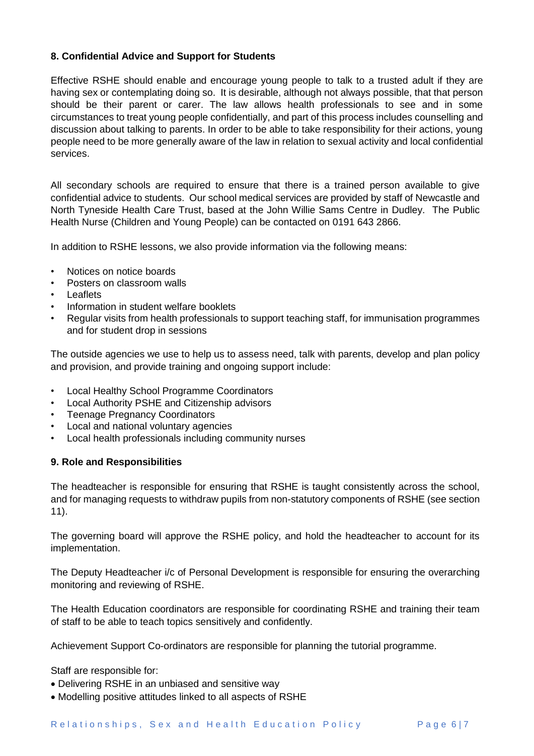# **8. Confidential Advice and Support for Students**

Effective RSHE should enable and encourage young people to talk to a trusted adult if they are having sex or contemplating doing so. It is desirable, although not always possible, that that person should be their parent or carer. The law allows health professionals to see and in some circumstances to treat young people confidentially, and part of this process includes counselling and discussion about talking to parents. In order to be able to take responsibility for their actions, young people need to be more generally aware of the law in relation to sexual activity and local confidential services.

All secondary schools are required to ensure that there is a trained person available to give confidential advice to students. Our school medical services are provided by staff of Newcastle and North Tyneside Health Care Trust, based at the John Willie Sams Centre in Dudley. The Public Health Nurse (Children and Young People) can be contacted on 0191 643 2866.

In addition to RSHE lessons, we also provide information via the following means:

- Notices on notice boards
- Posters on classroom walls
- Leaflets
- Information in student welfare booklets
- Regular visits from health professionals to support teaching staff, for immunisation programmes and for student drop in sessions

The outside agencies we use to help us to assess need, talk with parents, develop and plan policy and provision, and provide training and ongoing support include:

- Local Healthy School Programme Coordinators
- Local Authority PSHE and Citizenship advisors
- **Teenage Pregnancy Coordinators**
- Local and national voluntary agencies
- Local health professionals including community nurses

#### **9. Role and Responsibilities**

The headteacher is responsible for ensuring that RSHE is taught consistently across the school, and for managing requests to withdraw pupils from non-statutory components of RSHE (see section 11).

The governing board will approve the RSHE policy, and hold the headteacher to account for its implementation.

The Deputy Headteacher i/c of Personal Development is responsible for ensuring the overarching monitoring and reviewing of RSHE.

The Health Education coordinators are responsible for coordinating RSHE and training their team of staff to be able to teach topics sensitively and confidently.

Achievement Support Co-ordinators are responsible for planning the tutorial programme.

Staff are responsible for:

- Delivering RSHE in an unbiased and sensitive way
- Modelling positive attitudes linked to all aspects of RSHE